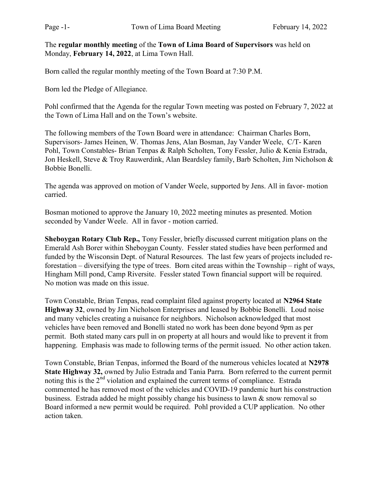The regular monthly meeting of the Town of Lima Board of Supervisors was held on Monday, February 14, 2022, at Lima Town Hall.

Born called the regular monthly meeting of the Town Board at 7:30 P.M.

Born led the Pledge of Allegiance.

Pohl confirmed that the Agenda for the regular Town meeting was posted on February 7, 2022 at the Town of Lima Hall and on the Town's website.

The following members of the Town Board were in attendance: Chairman Charles Born, Supervisors- James Heinen, W. Thomas Jens, Alan Bosman, Jay Vander Weele, C/T- Karen Pohl, Town Constables- Brian Tenpas & Ralph Scholten, Tony Fessler, Julio & Kenia Estrada, Jon Heskell, Steve & Troy Rauwerdink, Alan Beardsley family, Barb Scholten, Jim Nicholson & Bobbie Bonelli.

The agenda was approved on motion of Vander Weele, supported by Jens. All in favor- motion carried.

Bosman motioned to approve the January 10, 2022 meeting minutes as presented. Motion seconded by Vander Weele. All in favor - motion carried.

Sheboygan Rotary Club Rep., Tony Fessler, briefly discussed current mitigation plans on the Emerald Ash Borer within Sheboygan County. Fessler stated studies have been performed and funded by the Wisconsin Dept. of Natural Resources. The last few years of projects included reforestation – diversifying the type of trees. Born cited areas within the Township – right of ways, Hingham Mill pond, Camp Riversite. Fessler stated Town financial support will be required. No motion was made on this issue.

Town Constable, Brian Tenpas, read complaint filed against property located at N2964 State Highway 32, owned by Jim Nicholson Enterprises and leased by Bobbie Bonelli. Loud noise and many vehicles creating a nuisance for neighbors. Nicholson acknowledged that most vehicles have been removed and Bonelli stated no work has been done beyond 9pm as per permit. Both stated many cars pull in on property at all hours and would like to prevent it from happening. Emphasis was made to following terms of the permit issued. No other action taken.

Town Constable, Brian Tenpas, informed the Board of the numerous vehicles located at N2978 State Highway 32, owned by Julio Estrada and Tania Parra. Born referred to the current permit noting this is the 2<sup>nd</sup> violation and explained the current terms of compliance. Estrada commented he has removed most of the vehicles and COVID-19 pandemic hurt his construction business. Estrada added he might possibly change his business to lawn  $\&$  snow removal so Board informed a new permit would be required. Pohl provided a CUP application. No other action taken.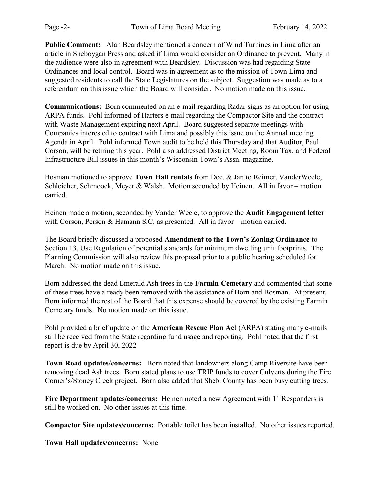Public Comment: Alan Beardsley mentioned a concern of Wind Turbines in Lima after an article in Sheboygan Press and asked if Lima would consider an Ordinance to prevent. Many in the audience were also in agreement with Beardsley. Discussion was had regarding State Ordinances and local control. Board was in agreement as to the mission of Town Lima and suggested residents to call the State Legislatures on the subject. Suggestion was made as to a referendum on this issue which the Board will consider. No motion made on this issue.

Communications: Born commented on an e-mail regarding Radar signs as an option for using ARPA funds. Pohl informed of Harters e-mail regarding the Compactor Site and the contract with Waste Management expiring next April. Board suggested separate meetings with Companies interested to contract with Lima and possibly this issue on the Annual meeting Agenda in April. Pohl informed Town audit to be held this Thursday and that Auditor, Paul Corson, will be retiring this year. Pohl also addressed District Meeting, Room Tax, and Federal Infrastructure Bill issues in this month's Wisconsin Town's Assn. magazine.

Bosman motioned to approve Town Hall rentals from Dec. & Jan.to Reimer, VanderWeele, Schleicher, Schmoock, Meyer & Walsh. Motion seconded by Heinen. All in favor – motion carried.

Heinen made a motion, seconded by Vander Weele, to approve the Audit Engagement letter with Corson, Person & Hamann S.C. as presented. All in favor – motion carried.

The Board briefly discussed a proposed Amendment to the Town's Zoning Ordinance to Section 13, Use Regulation of potential standards for minimum dwelling unit footprints. The Planning Commission will also review this proposal prior to a public hearing scheduled for March. No motion made on this issue.

Born addressed the dead Emerald Ash trees in the Farmin Cemetary and commented that some of these trees have already been removed with the assistance of Born and Bosman. At present, Born informed the rest of the Board that this expense should be covered by the existing Farmin Cemetary funds. No motion made on this issue.

Pohl provided a brief update on the **American Rescue Plan Act** (ARPA) stating many e-mails still be received from the State regarding fund usage and reporting. Pohl noted that the first report is due by April 30, 2022

Town Road updates/concerns: Born noted that landowners along Camp Riversite have been removing dead Ash trees. Born stated plans to use TRIP funds to cover Culverts during the Fire Corner's/Stoney Creek project. Born also added that Sheb. County has been busy cutting trees.

Fire Department updates/concerns: Heinen noted a new Agreement with  $1<sup>st</sup>$  Responders is still be worked on. No other issues at this time.

Compactor Site updates/concerns: Portable toilet has been installed. No other issues reported.

Town Hall updates/concerns: None